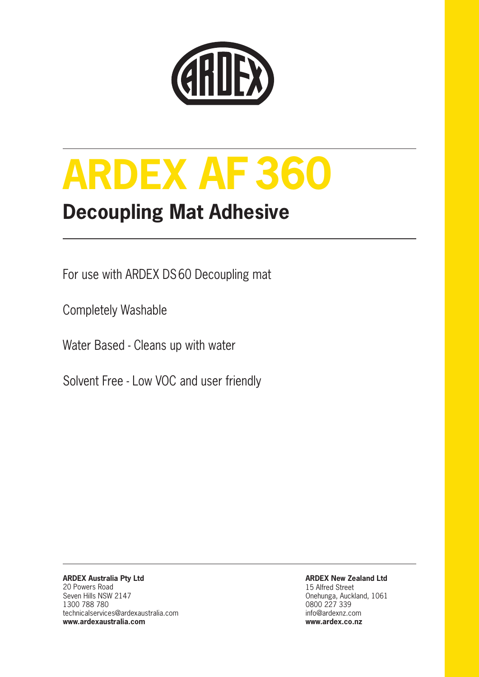

# **ARDEX AF360**

# **Decoupling Mat Adhesive**

For use with ARDEX DS60 Decoupling mat

Completely Washable

Water Based - Cleans up with water

Solvent Free - Low VOC and user friendly

**ARDEX Australia Pty Ltd** 20 Powers Road Seven Hills NSW 2147 1300 788 780 technicalservices@ardexaustralia.com **www.ardexaustralia.com**

**ARDEX New Zealand Ltd** 15 Alfred Street Onehunga, Auckland, 1061 0800 227 339 info@ardexnz.com **www.ardex.co.nz**